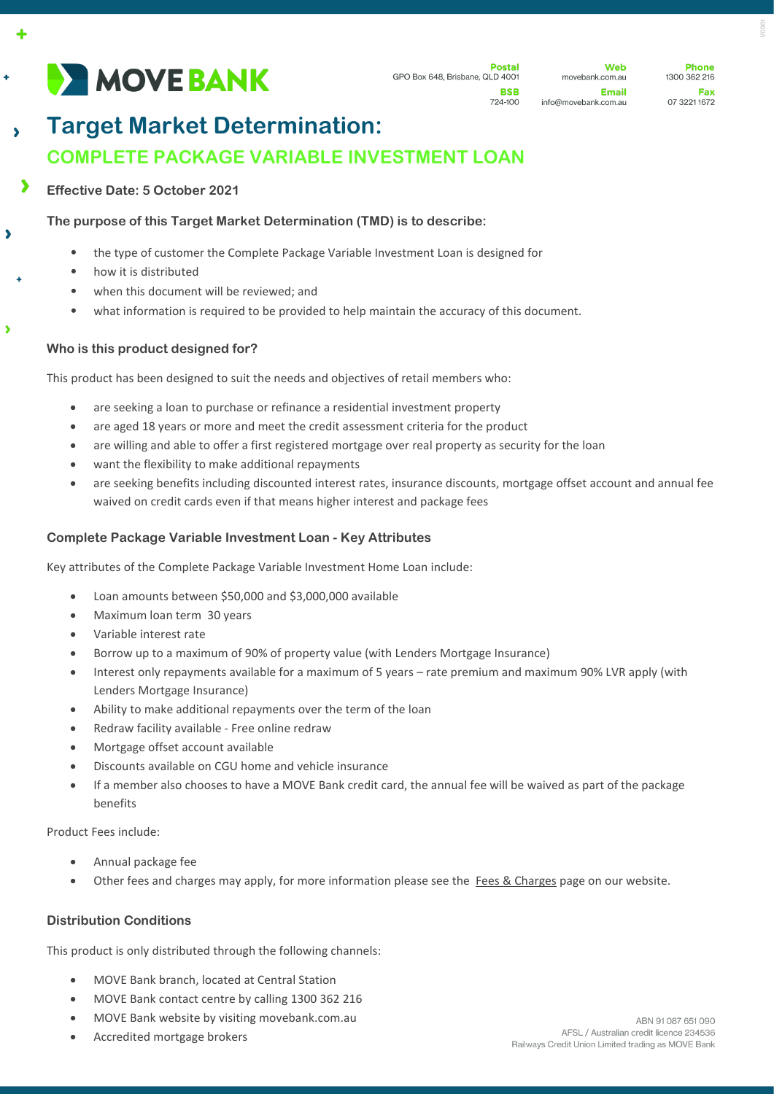# **DE MOVE BANK**

724-100

Web movebank.com.au Email info@movebank.com.au

**Phone** 1300 362 216 Fax 07 3221 1672

# **Target Market Determination: COMPLETE PACKAGE VARIABLE INVESTMENT LOAN**

 $\blacktriangleright$ **Effective Date: 5 October 2021**

 $\ddot{\bullet}$ 

 $\overline{\phantom{a}}$ 

 $\overline{\phantom{a}}$ 

# **The purpose of this Target Market Determination (TMD) is to describe:**

- the type of customer the Complete Package Variable Investment Loan is designed for
- how it is distributed
	- when this document will be reviewed; and
	- what information is required to be provided to help maintain the accuracy of this document.

## **Who is this product designed for?**

This product has been designed to suit the needs and objectives of retail members who:

- are seeking a loan to purchase or refinance a residential investment property
- are aged 18 years or more and meet the credit assessment criteria for the product
- are willing and able to offer a first registered mortgage over real property as security for the loan
- want the flexibility to make additional repayments
- are seeking benefits including discounted interest rates, insurance discounts, mortgage offset account and annual fee waived on credit cards even if that means higher interest and package fees

#### **Complete Package Variable Investment Loan - Key Attributes**

Key attributes of the Complete Package Variable Investment Home Loan include:

- Loan amounts between \$50,000 and \$3,000,000 available
- Maximum loan term 30 years
- Variable interest rate
- Borrow up to a maximum of 90% of property value (with Lenders Mortgage Insurance)
- Interest only repayments available for a maximum of 5 years rate premium and maximum 90% LVR apply (with Lenders Mortgage Insurance)
- Ability to make additional repayments over the term of the loan
- Redraw facility available Free online redraw
- Mortgage offset account available
- Discounts available on CGU home and vehicle insurance
- If a member also chooses to have a MOVE Bank credit card, the annual fee will be waived as part of the package benefits

Product Fees include:

- Annual package fee
- Other fees and charges may apply, for more information please see the [Fees & Charges](https://movebank.com.au/quick-links/fees-charges/) page on our website.

#### **Distribution Conditions**

This product is only distributed through the following channels:

- MOVE Bank branch, located at Central Station
- MOVE Bank contact centre by calling 1300 362 216
- MOVE Bank website by visiting movebank.com.au
- Accredited mortgage brokers